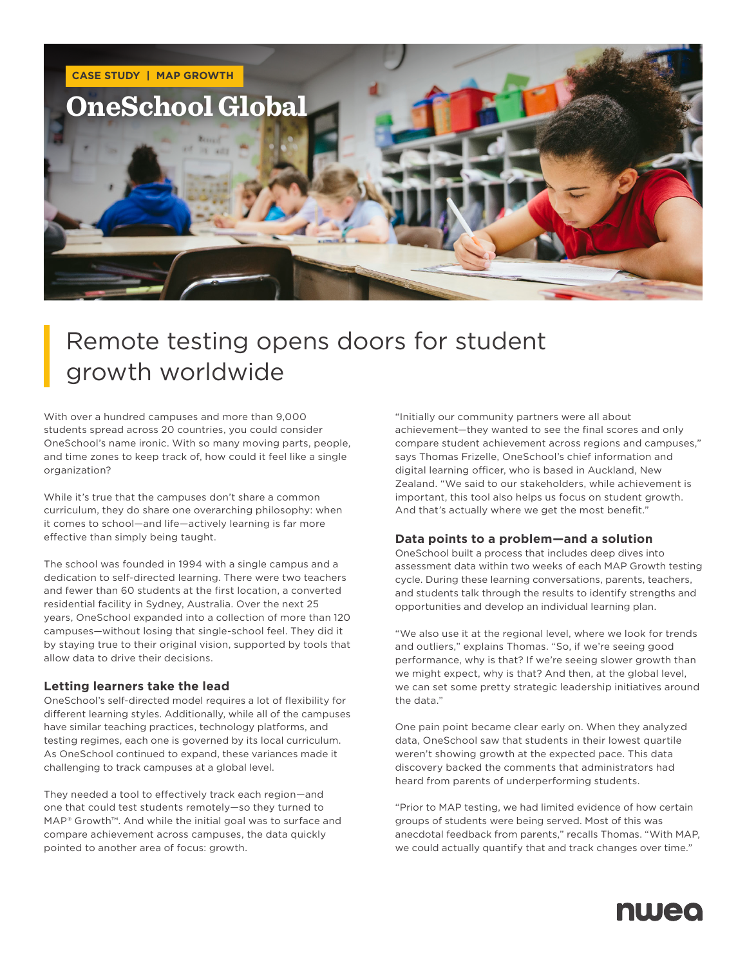

## Remote testing opens doors for student growth worldwide

With over a hundred campuses and more than 9,000 students spread across 20 countries, you could consider OneSchool's name ironic. With so many moving parts, people, and time zones to keep track of, how could it feel like a single organization?

While it's true that the campuses don't share a common curriculum, they do share one overarching philosophy: when it comes to school—and life—actively learning is far more effective than simply being taught.

The school was founded in 1994 with a single campus and a dedication to self-directed learning. There were two teachers and fewer than 60 students at the first location, a converted residential facility in Sydney, Australia. Over the next 25 years, OneSchool expanded into a collection of more than 120 campuses—without losing that single-school feel. They did it by staying true to their original vision, supported by tools that allow data to drive their decisions.

### **Letting learners take the lead**

OneSchool's self-directed model requires a lot of flexibility for different learning styles. Additionally, while all of the campuses have similar teaching practices, technology platforms, and testing regimes, each one is governed by its local curriculum. As OneSchool continued to expand, these variances made it challenging to track campuses at a global level.

They needed a tool to effectively track each region—and one that could test students remotely—so they turned to MAP® Growth™. And while the initial goal was to surface and compare achievement across campuses, the data quickly pointed to another area of focus: growth.

"Initially our community partners were all about achievement—they wanted to see the final scores and only compare student achievement across regions and campuses," says Thomas Frizelle, OneSchool's chief information and digital learning officer, who is based in Auckland, New Zealand. "We said to our stakeholders, while achievement is important, this tool also helps us focus on student growth. And that's actually where we get the most benefit."

### **Data points to a problem—and a solution**

OneSchool built a process that includes deep dives into assessment data within two weeks of each MAP Growth testing cycle. During these learning conversations, parents, teachers, and students talk through the results to identify strengths and opportunities and develop an individual learning plan.

"We also use it at the regional level, where we look for trends and outliers," explains Thomas. "So, if we're seeing good performance, why is that? If we're seeing slower growth than we might expect, why is that? And then, at the global level, we can set some pretty strategic leadership initiatives around the data."

One pain point became clear early on. When they analyzed data, OneSchool saw that students in their lowest quartile weren't showing growth at the expected pace. This data discovery backed the comments that administrators had heard from parents of underperforming students.

"Prior to MAP testing, we had limited evidence of how certain groups of students were being served. Most of this was anecdotal feedback from parents," recalls Thomas. "With MAP, we could actually quantify that and track changes over time."